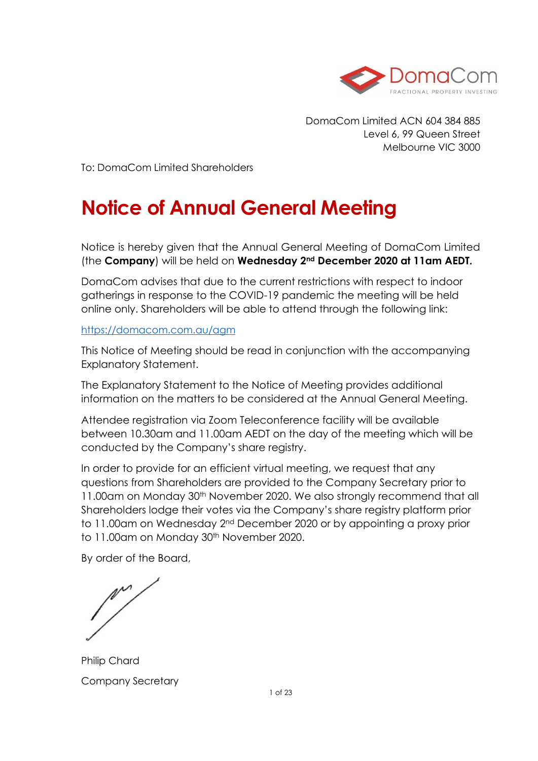

DomaCom Limited ACN 604 384 885 Level 6, 99 Queen Street Melbourne VIC 3000

To: DomaCom Limited Shareholders

# **Notice of Annual General Meeting**

Notice is hereby given that the Annual General Meeting of DomaCom Limited (the **Company**) will be held on **Wednesday 2nd December 2020 at 11am AEDT.** 

DomaCom advises that due to the current restrictions with respect to indoor gatherings in response to the COVID-19 pandemic the meeting will be held online only. Shareholders will be able to attend through the following link:

### <https://domacom.com.au/agm>

This Notice of Meeting should be read in conjunction with the accompanying Explanatory Statement.

The Explanatory Statement to the Notice of Meeting provides additional information on the matters to be considered at the Annual General Meeting.

Attendee registration via Zoom Teleconference facility will be available between 10.30am and 11.00am AEDT on the day of the meeting which will be conducted by the Company's share registry.

In order to provide for an efficient virtual meeting, we request that any questions from Shareholders are provided to the Company Secretary prior to 11.00am on Monday 30th November 2020. We also strongly recommend that all Shareholders lodge their votes via the Company's share registry platform prior to 11.00am on Wednesday 2nd December 2020 or by appointing a proxy prior to 11.00am on Monday 30<sup>th</sup> November 2020.

By order of the Board,

Philip Chard Company Secretary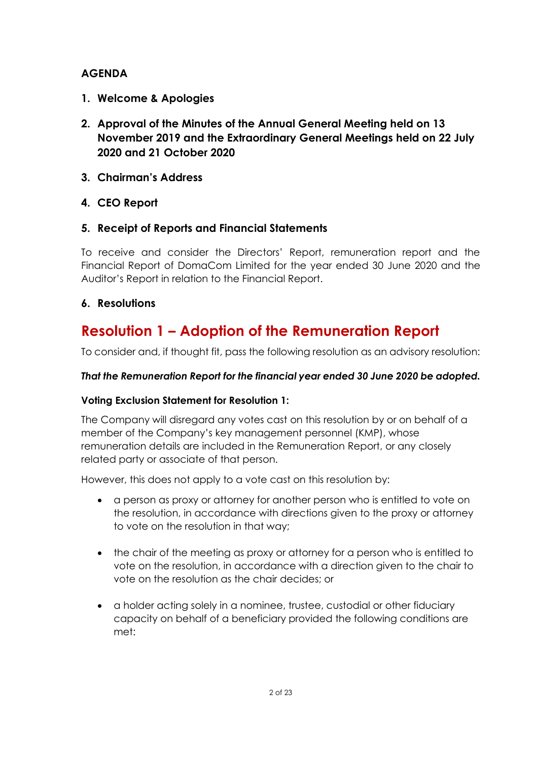### **AGENDA**

- **1. Welcome & Apologies**
- **2. Approval of the Minutes of the Annual General Meeting held on 13 November 2019 and the Extraordinary General Meetings held on 22 July 2020 and 21 October 2020**
- **3. Chairman's Address**
- **4. CEO Report**

### **5. Receipt of Reports and Financial Statements**

To receive and consider the Directors' Report, remuneration report and the Financial Report of DomaCom Limited for the year ended 30 June 2020 and the Auditor's Report in relation to the Financial Report.

### **6. Resolutions**

# **Resolution 1 – Adoption of the Remuneration Report**

To consider and, if thought fit, pass the following resolution as an advisory resolution:

### *That the Remuneration Report for the financial year ended 30 June 2020 be adopted.*

### **Voting Exclusion Statement for Resolution 1:**

The Company will disregard any votes cast on this resolution by or on behalf of a member of the Company's key management personnel (KMP), whose remuneration details are included in the Remuneration Report, or any closely related party or associate of that person.

However, this does not apply to a vote cast on this resolution by:

- a person as proxy or attorney for another person who is entitled to vote on the resolution, in accordance with directions given to the proxy or attorney to vote on the resolution in that way;
- the chair of the meeting as proxy or attorney for a person who is entitled to vote on the resolution, in accordance with a direction given to the chair to vote on the resolution as the chair decides; or
- a holder acting solely in a nominee, trustee, custodial or other fiduciary capacity on behalf of a beneficiary provided the following conditions are met: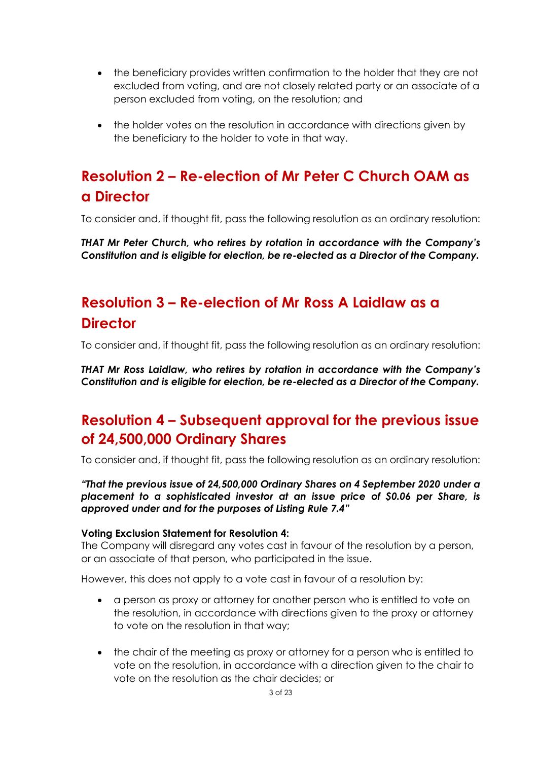- the beneficiary provides written confirmation to the holder that they are not excluded from voting, and are not closely related party or an associate of a person excluded from voting, on the resolution; and
- the holder votes on the resolution in accordance with directions given by the beneficiary to the holder to vote in that way.

# **Resolution 2 – Re-election of Mr Peter C Church OAM as a Director**

To consider and, if thought fit, pass the following resolution as an ordinary resolution:

*THAT Mr Peter Church, who retires by rotation in accordance with the Company's Constitution and is eligible for election, be re-elected as a Director of the Company.*

# **Resolution 3 – Re-election of Mr Ross A Laidlaw as a Director**

To consider and, if thought fit, pass the following resolution as an ordinary resolution:

*THAT Mr Ross Laidlaw, who retires by rotation in accordance with the Company's Constitution and is eligible for election, be re-elected as a Director of the Company.*

# **Resolution 4 – Subsequent approval for the previous issue of 24,500,000 Ordinary Shares**

To consider and, if thought fit, pass the following resolution as an ordinary resolution:

*"That the previous issue of 24,500,000 Ordinary Shares on 4 September 2020 under a placement to a sophisticated investor at an issue price of \$0.06 per Share, is approved under and for the purposes of Listing Rule 7.4"*

#### **Voting Exclusion Statement for Resolution 4:**

The Company will disregard any votes cast in favour of the resolution by a person, or an associate of that person, who participated in the issue.

However, this does not apply to a vote cast in favour of a resolution by:

- a person as proxy or attorney for another person who is entitled to vote on the resolution, in accordance with directions given to the proxy or attorney to vote on the resolution in that way;
- the chair of the meeting as proxy or attorney for a person who is entitled to vote on the resolution, in accordance with a direction given to the chair to vote on the resolution as the chair decides; or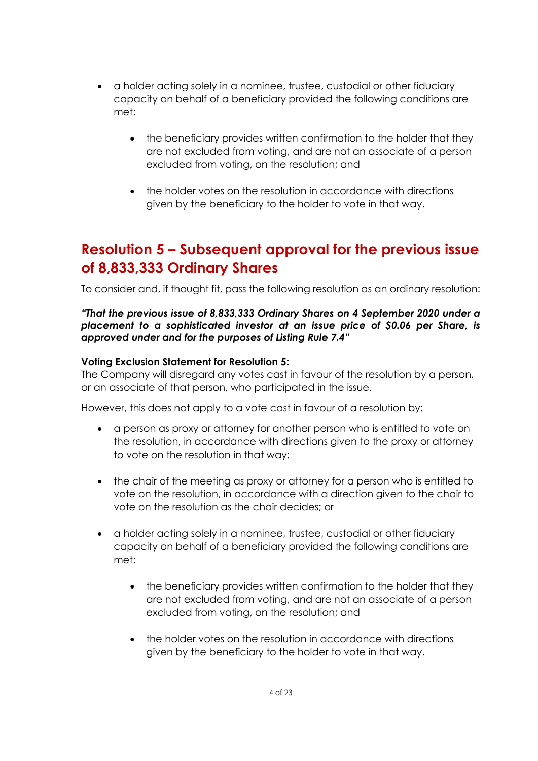- a holder acting solely in a nominee, trustee, custodial or other fiduciary capacity on behalf of a beneficiary provided the following conditions are met:
	- the beneficiary provides written confirmation to the holder that they are not excluded from voting, and are not an associate of a person excluded from voting, on the resolution; and
	- the holder votes on the resolution in accordance with directions given by the beneficiary to the holder to vote in that way.

# **Resolution 5 – Subsequent approval for the previous issue of 8,833,333 Ordinary Shares**

To consider and, if thought fit, pass the following resolution as an ordinary resolution:

*"That the previous issue of 8,833,333 Ordinary Shares on 4 September 2020 under a placement to a sophisticated investor at an issue price of \$0.06 per Share, is approved under and for the purposes of Listing Rule 7.4"*

### **Voting Exclusion Statement for Resolution 5:**

The Company will disregard any votes cast in favour of the resolution by a person, or an associate of that person, who participated in the issue.

However, this does not apply to a vote cast in favour of a resolution by:

- a person as proxy or attorney for another person who is entitled to vote on the resolution, in accordance with directions given to the proxy or attorney to vote on the resolution in that way;
- the chair of the meeting as proxy or attorney for a person who is entitled to vote on the resolution, in accordance with a direction given to the chair to vote on the resolution as the chair decides; or
- a holder acting solely in a nominee, trustee, custodial or other fiduciary capacity on behalf of a beneficiary provided the following conditions are met:
	- the beneficiary provides written confirmation to the holder that they are not excluded from voting, and are not an associate of a person excluded from voting, on the resolution; and
	- the holder votes on the resolution in accordance with directions given by the beneficiary to the holder to vote in that way.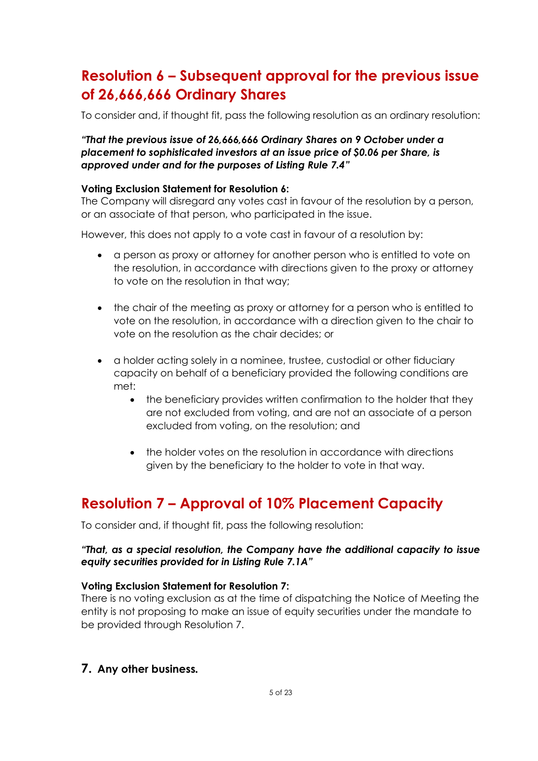# **Resolution 6 – Subsequent approval for the previous issue of 26,666,666 Ordinary Shares**

To consider and, if thought fit, pass the following resolution as an ordinary resolution:

### *"That the previous issue of 26,666,666 Ordinary Shares on 9 October under a placement to sophisticated investors at an issue price of \$0.06 per Share, is approved under and for the purposes of Listing Rule 7.4"*

#### **Voting Exclusion Statement for Resolution 6:**

The Company will disregard any votes cast in favour of the resolution by a person, or an associate of that person, who participated in the issue.

However, this does not apply to a vote cast in favour of a resolution by:

- a person as proxy or attorney for another person who is entitled to vote on the resolution, in accordance with directions given to the proxy or attorney to vote on the resolution in that way;
- the chair of the meeting as proxy or attorney for a person who is entitled to vote on the resolution, in accordance with a direction given to the chair to vote on the resolution as the chair decides; or
- a holder acting solely in a nominee, trustee, custodial or other fiduciary capacity on behalf of a beneficiary provided the following conditions are met:
	- the beneficiary provides written confirmation to the holder that they are not excluded from voting, and are not an associate of a person excluded from voting, on the resolution; and
	- the holder votes on the resolution in accordance with directions given by the beneficiary to the holder to vote in that way.

# **Resolution 7 – Approval of 10% Placement Capacity**

To consider and, if thought fit, pass the following resolution:

#### *"That, as a special resolution, the Company have the additional capacity to issue equity securities provided for in Listing Rule 7.1A"*

#### **Voting Exclusion Statement for Resolution 7:**

There is no voting exclusion as at the time of dispatching the Notice of Meeting the entity is not proposing to make an issue of equity securities under the mandate to be provided through Resolution 7.

**7. Any other business***.*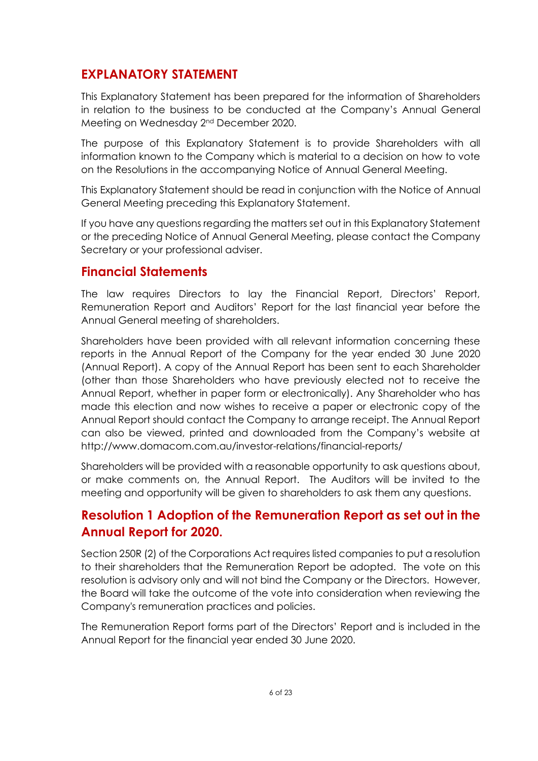## **EXPLANATORY STATEMENT**

This Explanatory Statement has been prepared for the information of Shareholders in relation to the business to be conducted at the Company's Annual General Meeting on Wednesday 2nd December 2020.

The purpose of this Explanatory Statement is to provide Shareholders with all information known to the Company which is material to a decision on how to vote on the Resolutions in the accompanying Notice of Annual General Meeting.

This Explanatory Statement should be read in conjunction with the Notice of Annual General Meeting preceding this Explanatory Statement.

If you have any questions regarding the matters set out in this Explanatory Statement or the preceding Notice of Annual General Meeting, please contact the Company Secretary or your professional adviser.

## **Financial Statements**

The law requires Directors to lay the Financial Report, Directors' Report, Remuneration Report and Auditors' Report for the last financial year before the Annual General meeting of shareholders.

Shareholders have been provided with all relevant information concerning these reports in the Annual Report of the Company for the year ended 30 June 2020 (Annual Report). A copy of the Annual Report has been sent to each Shareholder (other than those Shareholders who have previously elected not to receive the Annual Report, whether in paper form or electronically). Any Shareholder who has made this election and now wishes to receive a paper or electronic copy of the Annual Report should contact the Company to arrange receipt. The Annual Report can also be viewed, printed and downloaded from the Company's website at http://www.domacom.com.au/investor-relations/financial-reports/

Shareholders will be provided with a reasonable opportunity to ask questions about, or make comments on, the Annual Report. The Auditors will be invited to the meeting and opportunity will be given to shareholders to ask them any questions.

# **Resolution 1 Adoption of the Remuneration Report as set out in the Annual Report for 2020.**

Section 250R (2) of the Corporations Act requires listed companies to put a resolution to their shareholders that the Remuneration Report be adopted. The vote on this resolution is advisory only and will not bind the Company or the Directors. However, the Board will take the outcome of the vote into consideration when reviewing the Company's remuneration practices and policies.

The Remuneration Report forms part of the Directors' Report and is included in the Annual Report for the financial year ended 30 June 2020.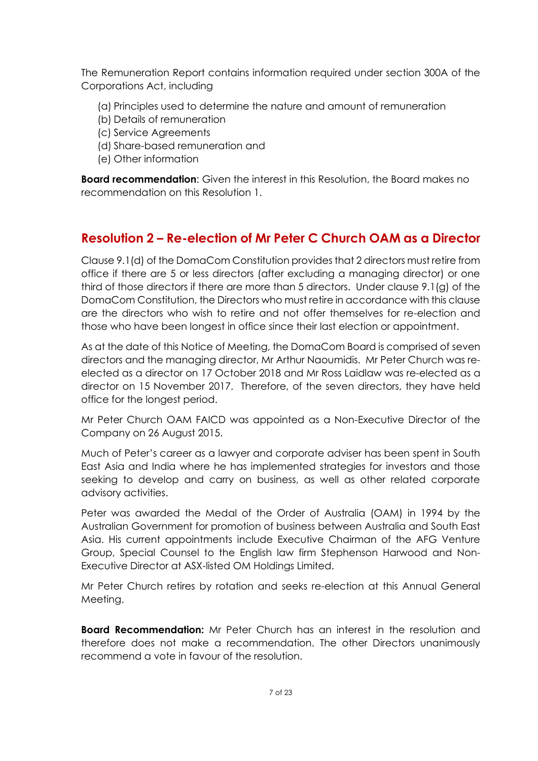The Remuneration Report contains information required under section 300A of the Corporations Act, including

- (a) Principles used to determine the nature and amount of remuneration
- (b) Details of remuneration
- (c) Service Agreements
- (d) Share-based remuneration and
- (e) Other information

**Board recommendation**: Given the interest in this Resolution, the Board makes no recommendation on this Resolution 1.

## **Resolution 2 – Re-election of Mr Peter C Church OAM as a Director**

Clause 9.1(d) of the DomaCom Constitution provides that 2 directors must retire from office if there are 5 or less directors (after excluding a managing director) or one third of those directors if there are more than 5 directors. Under clause 9.1(g) of the DomaCom Constitution, the Directors who must retire in accordance with this clause are the directors who wish to retire and not offer themselves for re-election and those who have been longest in office since their last election or appointment.

As at the date of this Notice of Meeting, the DomaCom Board is comprised of seven directors and the managing director, Mr Arthur Naoumidis. Mr Peter Church was reelected as a director on 17 October 2018 and Mr Ross Laidlaw was re-elected as a director on 15 November 2017. Therefore, of the seven directors, they have held office for the longest period.

Mr Peter Church OAM FAICD was appointed as a Non-Executive Director of the Company on 26 August 2015.

Much of Peter's career as a lawyer and corporate adviser has been spent in South East Asia and India where he has implemented strategies for investors and those seeking to develop and carry on business, as well as other related corporate advisory activities.

Peter was awarded the Medal of the Order of Australia (OAM) in 1994 by the Australian Government for promotion of business between Australia and South East Asia. His current appointments include Executive Chairman of the AFG Venture Group, Special Counsel to the English law firm Stephenson Harwood and Non-Executive Director at ASX-listed OM Holdings Limited.

Mr Peter Church retires by rotation and seeks re-election at this Annual General Meeting.

**Board Recommendation:** Mr Peter Church has an interest in the resolution and therefore does not make a recommendation. The other Directors unanimously recommend a vote in favour of the resolution.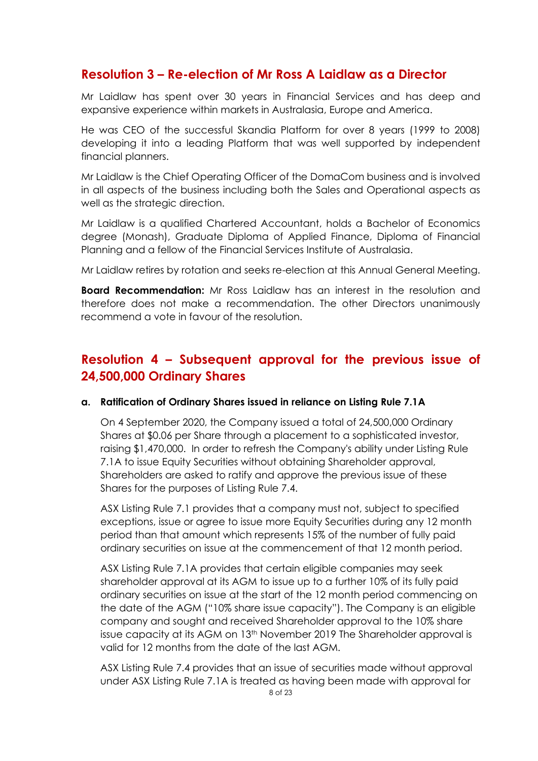### **Resolution 3 – Re-election of Mr Ross A Laidlaw as a Director**

Mr Laidlaw has spent over 30 years in Financial Services and has deep and expansive experience within markets in Australasia, Europe and America.

He was CEO of the successful Skandia Platform for over 8 years (1999 to 2008) developing it into a leading Platform that was well supported by independent financial planners.

Mr Laidlaw is the Chief Operating Officer of the DomaCom business and is involved in all aspects of the business including both the Sales and Operational aspects as well as the strategic direction.

Mr Laidlaw is a qualified Chartered Accountant, holds a Bachelor of Economics degree (Monash), Graduate Diploma of Applied Finance, Diploma of Financial Planning and a fellow of the Financial Services Institute of Australasia.

Mr Laidlaw retires by rotation and seeks re-election at this Annual General Meeting.

**Board Recommendation:** Mr Ross Laidlaw has an interest in the resolution and therefore does not make a recommendation. The other Directors unanimously recommend a vote in favour of the resolution.

## **Resolution 4 – Subsequent approval for the previous issue of 24,500,000 Ordinary Shares**

### **a. Ratification of Ordinary Shares issued in reliance on Listing Rule 7.1A**

On 4 September 2020, the Company issued a total of 24,500,000 Ordinary Shares at \$0.06 per Share through a placement to a sophisticated investor, raising \$1,470,000. In order to refresh the Company's ability under Listing Rule 7.1A to issue Equity Securities without obtaining Shareholder approval, Shareholders are asked to ratify and approve the previous issue of these Shares for the purposes of Listing Rule 7.4.

ASX Listing Rule 7.1 provides that a company must not, subject to specified exceptions, issue or agree to issue more Equity Securities during any 12 month period than that amount which represents 15% of the number of fully paid ordinary securities on issue at the commencement of that 12 month period.

ASX Listing Rule 7.1A provides that certain eligible companies may seek shareholder approval at its AGM to issue up to a further 10% of its fully paid ordinary securities on issue at the start of the 12 month period commencing on the date of the AGM ("10% share issue capacity"). The Company is an eligible company and sought and received Shareholder approval to the 10% share issue capacity at its AGM on 13th November 2019 The Shareholder approval is valid for 12 months from the date of the last AGM.

ASX Listing Rule 7.4 provides that an issue of securities made without approval under ASX Listing Rule 7.1A is treated as having been made with approval for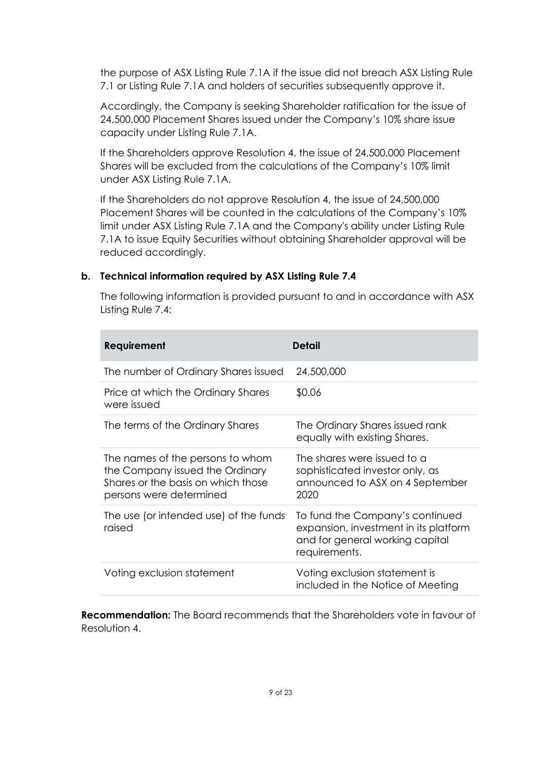the purpose of ASX Listing Rule 7.1A if the issue did not breach ASX Listing Rule 7.1 or Listing Rule 7.1A and holders of securities subsequently approve it.

Accordingly, the Company is seeking Shareholder ratification for the issue of 24,500,000 Placement Shares issued under the Company's 10% share issue capacity under Listing Rule 7.1A.

If the Shareholders approve Resolution 4, the issue of 24,500,000 Placement Shares will be excluded from the calculations of the Company's 10% limit under ASX Listing Rule 7.1A.

If the Shareholders do not approve Resolution 4, the issue of 24,500,000 Placement Shares will be counted in the calculations of the Company's 10% limit under ASX Listing Rule 7.1A and the Company's ability under Listing Rule 7.1A to issue Equity Securities without obtaining Shareholder approval will be reduced accordingly.

### **b. Technical information required by ASX Listing Rule 7.4**

The following information is provided pursuant to and in accordance with ASX Listing Rule 7.4:

| Requirement                                                                                                                          | Detail                                                                                                                       |
|--------------------------------------------------------------------------------------------------------------------------------------|------------------------------------------------------------------------------------------------------------------------------|
| The number of Ordinary Shares issued                                                                                                 | 24,500,000                                                                                                                   |
| Price at which the Ordinary Shares<br>were issued                                                                                    | \$0.06                                                                                                                       |
| The terms of the Ordinary Shares                                                                                                     | The Ordinary Shares issued rank<br>equally with existing Shares.                                                             |
| The names of the persons to whom<br>the Company issued the Ordinary<br>Shares or the basis on which those<br>persons were determined | The shares were issued to a<br>sophisticated investor only, as<br>announced to ASX on 4 September<br>2020                    |
| The use (or intended use) of the funds<br>raised                                                                                     | To fund the Company's continued<br>expansion, investment in its platform<br>and for general working capital<br>requirements. |
| Voting exclusion statement                                                                                                           | Voting exclusion statement is<br>included in the Notice of Meeting                                                           |

**Recommendation:** The Board recommends that the Shareholders vote in favour of Resolution 4.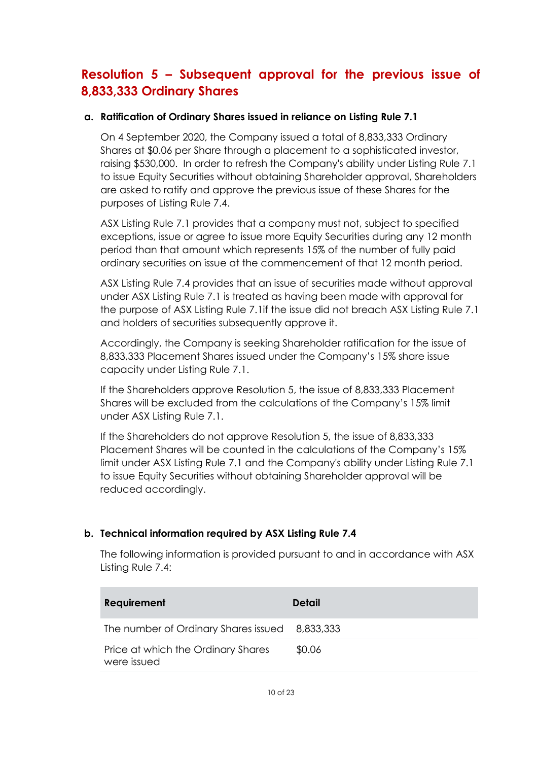# **Resolution 5 – Subsequent approval for the previous issue of 8,833,333 Ordinary Shares**

### **a. Ratification of Ordinary Shares issued in reliance on Listing Rule 7.1**

On 4 September 2020, the Company issued a total of 8,833,333 Ordinary Shares at \$0.06 per Share through a placement to a sophisticated investor, raising \$530,000. In order to refresh the Company's ability under Listing Rule 7.1 to issue Equity Securities without obtaining Shareholder approval, Shareholders are asked to ratify and approve the previous issue of these Shares for the purposes of Listing Rule 7.4.

ASX Listing Rule 7.1 provides that a company must not, subject to specified exceptions, issue or agree to issue more Equity Securities during any 12 month period than that amount which represents 15% of the number of fully paid ordinary securities on issue at the commencement of that 12 month period.

ASX Listing Rule 7.4 provides that an issue of securities made without approval under ASX Listing Rule 7.1 is treated as having been made with approval for the purpose of ASX Listing Rule 7.1if the issue did not breach ASX Listing Rule 7.1 and holders of securities subsequently approve it.

Accordingly, the Company is seeking Shareholder ratification for the issue of 8,833,333 Placement Shares issued under the Company's 15% share issue capacity under Listing Rule 7.1.

If the Shareholders approve Resolution 5, the issue of 8,833,333 Placement Shares will be excluded from the calculations of the Company's 15% limit under ASX Listing Rule 7.1.

If the Shareholders do not approve Resolution 5, the issue of 8,833,333 Placement Shares will be counted in the calculations of the Company's 15% limit under ASX Listing Rule 7.1 and the Company's ability under Listing Rule 7.1 to issue Equity Securities without obtaining Shareholder approval will be reduced accordingly.

### **b. Technical information required by ASX Listing Rule 7.4**

The following information is provided pursuant to and in accordance with ASX Listing Rule 7.4:

| <b>Requirement</b>                                | <b>Detail</b> |
|---------------------------------------------------|---------------|
| The number of Ordinary Shares issued 8,833,333    |               |
| Price at which the Ordinary Shares<br>were issued | \$0.06        |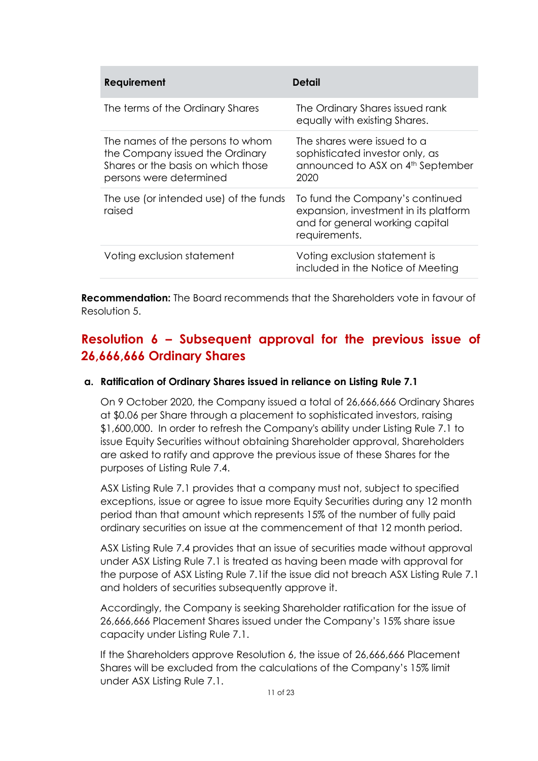| <b>Requirement</b>                                                                                                                   | <b>Detail</b>                                                                                                                |
|--------------------------------------------------------------------------------------------------------------------------------------|------------------------------------------------------------------------------------------------------------------------------|
| The terms of the Ordinary Shares                                                                                                     | The Ordinary Shares issued rank<br>equally with existing Shares.                                                             |
| The names of the persons to whom<br>the Company issued the Ordinary<br>Shares or the basis on which those<br>persons were determined | The shares were issued to a<br>sophisticated investor only, as<br>announced to ASX on 4th September<br>2020                  |
| The use (or intended use) of the funds<br>raised                                                                                     | To fund the Company's continued<br>expansion, investment in its platform<br>and for general working capital<br>requirements. |
| Voting exclusion statement                                                                                                           | Voting exclusion statement is<br>included in the Notice of Meeting                                                           |

**Recommendation:** The Board recommends that the Shareholders vote in favour of Resolution 5.

## **Resolution 6 – Subsequent approval for the previous issue of 26,666,666 Ordinary Shares**

### **a. Ratification of Ordinary Shares issued in reliance on Listing Rule 7.1**

On 9 October 2020, the Company issued a total of 26,666,666 Ordinary Shares at \$0.06 per Share through a placement to sophisticated investors, raising \$1,600,000. In order to refresh the Company's ability under Listing Rule 7.1 to issue Equity Securities without obtaining Shareholder approval, Shareholders are asked to ratify and approve the previous issue of these Shares for the purposes of Listing Rule 7.4.

ASX Listing Rule 7.1 provides that a company must not, subject to specified exceptions, issue or agree to issue more Equity Securities during any 12 month period than that amount which represents 15% of the number of fully paid ordinary securities on issue at the commencement of that 12 month period.

ASX Listing Rule 7.4 provides that an issue of securities made without approval under ASX Listing Rule 7.1 is treated as having been made with approval for the purpose of ASX Listing Rule 7.1if the issue did not breach ASX Listing Rule 7.1 and holders of securities subsequently approve it.

Accordingly, the Company is seeking Shareholder ratification for the issue of 26,666,666 Placement Shares issued under the Company's 15% share issue capacity under Listing Rule 7.1.

If the Shareholders approve Resolution 6, the issue of 26,666,666 Placement Shares will be excluded from the calculations of the Company's 15% limit under ASX Listing Rule 7.1.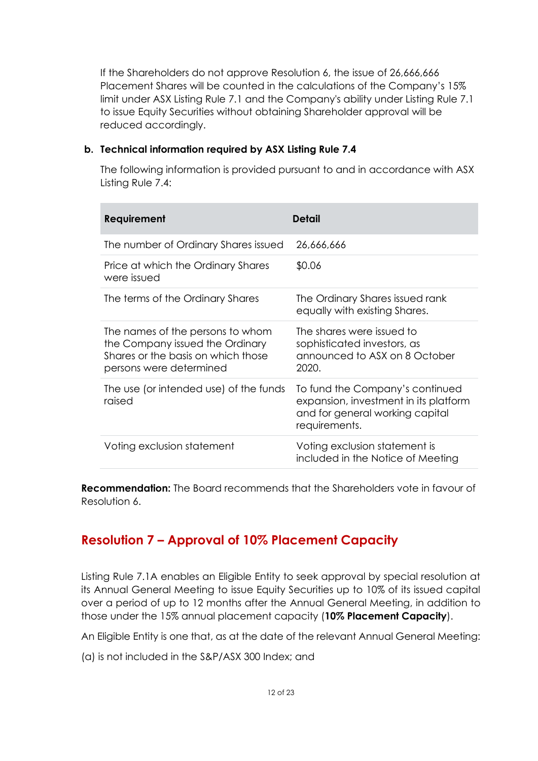If the Shareholders do not approve Resolution 6, the issue of 26,666,666 Placement Shares will be counted in the calculations of the Company's 15% limit under ASX Listing Rule 7.1 and the Company's ability under Listing Rule 7.1 to issue Equity Securities without obtaining Shareholder approval will be reduced accordingly.

### **b. Technical information required by ASX Listing Rule 7.4**

The following information is provided pursuant to and in accordance with ASX Listing Rule 7.4:

| Requirement                                                                                                                          | <b>Detail</b>                                                                                                                |
|--------------------------------------------------------------------------------------------------------------------------------------|------------------------------------------------------------------------------------------------------------------------------|
| The number of Ordinary Shares issued                                                                                                 | 26,666,666                                                                                                                   |
| Price at which the Ordinary Shares<br>were issued                                                                                    | \$0.06                                                                                                                       |
| The terms of the Ordinary Shares                                                                                                     | The Ordinary Shares issued rank<br>equally with existing Shares.                                                             |
| The names of the persons to whom<br>the Company issued the Ordinary<br>Shares or the basis on which those<br>persons were determined | The shares were issued to<br>sophisticated investors, as<br>announced to ASX on 8 October<br>2020.                           |
| The use (or intended use) of the funds<br>raised                                                                                     | To fund the Company's continued<br>expansion, investment in its platform<br>and for general working capital<br>requirements. |
| Voting exclusion statement                                                                                                           | Voting exclusion statement is<br>included in the Notice of Meeting                                                           |

**Recommendation:** The Board recommends that the Shareholders vote in favour of Resolution 6.

## **Resolution 7 – Approval of 10% Placement Capacity**

Listing Rule 7.1A enables an Eligible Entity to seek approval by special resolution at its Annual General Meeting to issue Equity Securities up to 10% of its issued capital over a period of up to 12 months after the Annual General Meeting, in addition to those under the 15% annual placement capacity (**10% Placement Capacity**).

An Eligible Entity is one that, as at the date of the relevant Annual General Meeting:

(a) is not included in the S&P/ASX 300 Index; and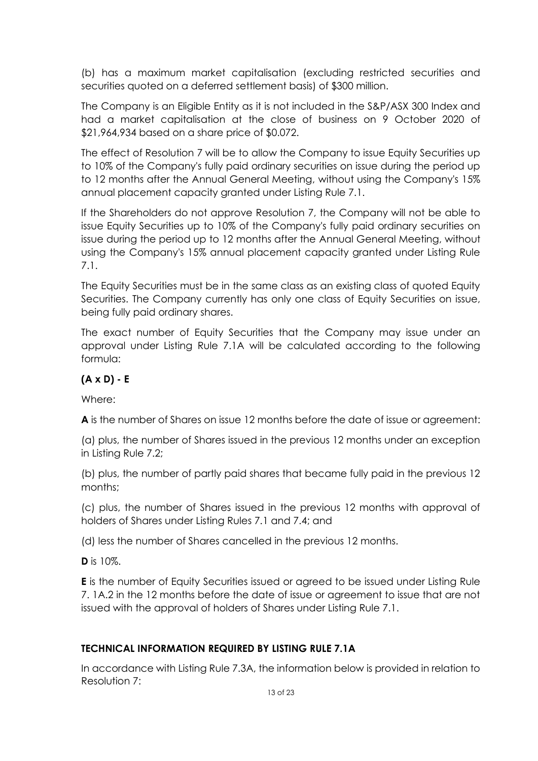(b) has a maximum market capitalisation (excluding restricted securities and securities quoted on a deferred settlement basis) of \$300 million.

The Company is an Eligible Entity as it is not included in the S&P/ASX 300 Index and had a market capitalisation at the close of business on 9 October 2020 of \$21,964,934 based on a share price of \$0.072.

The effect of Resolution 7 will be to allow the Company to issue Equity Securities up to 10% of the Company's fully paid ordinary securities on issue during the period up to 12 months after the Annual General Meeting, without using the Company's 15% annual placement capacity granted under Listing Rule 7.1.

If the Shareholders do not approve Resolution 7, the Company will not be able to issue Equity Securities up to 10% of the Company's fully paid ordinary securities on issue during the period up to 12 months after the Annual General Meeting, without using the Company's 15% annual placement capacity granted under Listing Rule 7.1.

The Equity Securities must be in the same class as an existing class of quoted Equity Securities. The Company currently has only one class of Equity Securities on issue, being fully paid ordinary shares.

The exact number of Equity Securities that the Company may issue under an approval under Listing Rule 7.1A will be calculated according to the following formula:

### **(A x D) - E**

Where:

**A** is the number of Shares on issue 12 months before the date of issue or agreement:

(a) plus, the number of Shares issued in the previous 12 months under an exception in Listing Rule 7.2;

(b) plus, the number of partly paid shares that became fully paid in the previous 12 months;

(c) plus, the number of Shares issued in the previous 12 months with approval of holders of Shares under Listing Rules 7.1 and 7.4; and

(d) less the number of Shares cancelled in the previous 12 months.

**D** is 10%.

**E** is the number of Equity Securities issued or agreed to be issued under Listing Rule 7. 1A.2 in the 12 months before the date of issue or agreement to issue that are not issued with the approval of holders of Shares under Listing Rule 7.1.

### **TECHNICAL INFORMATION REQUIRED BY LISTING RULE 7.1A**

In accordance with Listing Rule 7.3A, the information below is provided in relation to Resolution 7: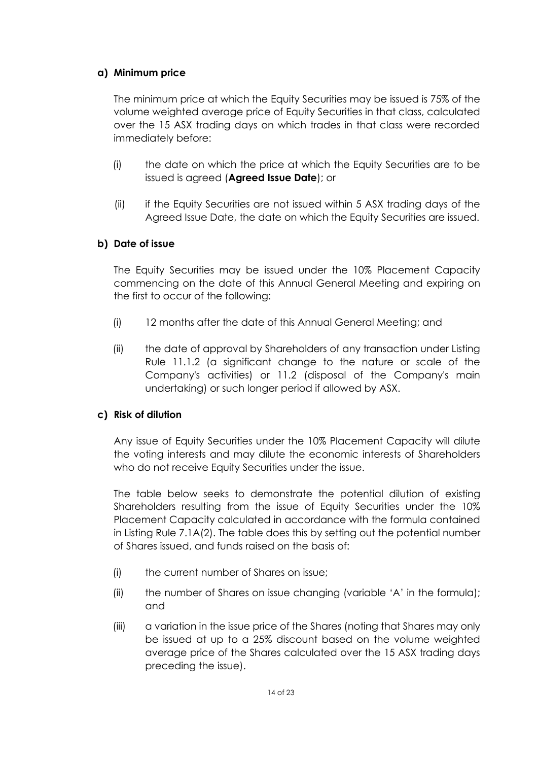### **a) Minimum price**

The minimum price at which the Equity Securities may be issued is 75% of the volume weighted average price of Equity Securities in that class, calculated over the 15 ASX trading days on which trades in that class were recorded immediately before:

- (i) the date on which the price at which the Equity Securities are to be issued is agreed (**Agreed Issue Date**); or
- (ii) if the Equity Securities are not issued within 5 ASX trading days of the Agreed Issue Date, the date on which the Equity Securities are issued.

### **b) Date of issue**

The Equity Securities may be issued under the 10% Placement Capacity commencing on the date of this Annual General Meeting and expiring on the first to occur of the following:

- (i) 12 months after the date of this Annual General Meeting; and
- (ii) the date of approval by Shareholders of any transaction under Listing Rule 11.1.2 (a significant change to the nature or scale of the Company's activities) or 11.2 (disposal of the Company's main undertaking) or such longer period if allowed by ASX.

### **c) Risk of dilution**

Any issue of Equity Securities under the 10% Placement Capacity will dilute the voting interests and may dilute the economic interests of Shareholders who do not receive Equity Securities under the issue.

The table below seeks to demonstrate the potential dilution of existing Shareholders resulting from the issue of Equity Securities under the 10% Placement Capacity calculated in accordance with the formula contained in Listing Rule 7.1A(2). The table does this by setting out the potential number of Shares issued, and funds raised on the basis of:

- (i) the current number of Shares on issue;
- (ii) the number of Shares on issue changing (variable 'A' in the formula); and
- (iii) a variation in the issue price of the Shares (noting that Shares may only be issued at up to a 25% discount based on the volume weighted average price of the Shares calculated over the 15 ASX trading days preceding the issue).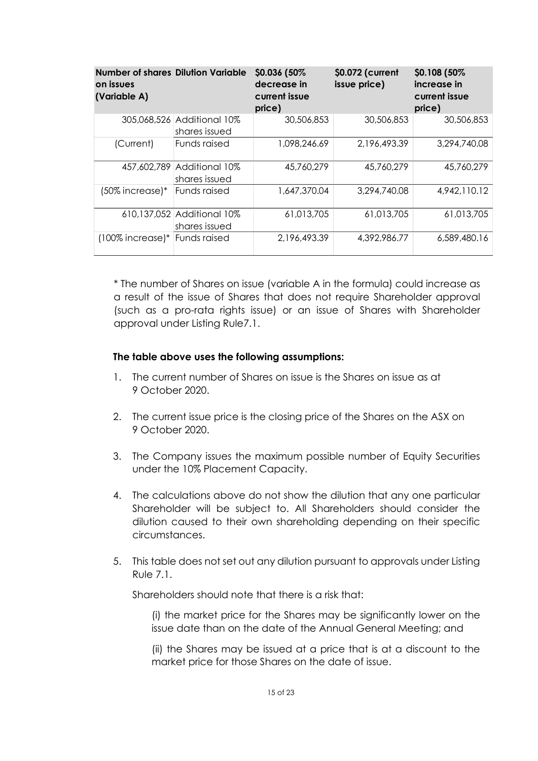| <b>Number of shares Dilution Variable</b><br>on issues<br>(Variable A) |                                             | \$0.036 (50%)<br>decrease in<br>current issue<br>price) | \$0.072 (current<br>issue price) | \$0.108 (50%)<br>increase in<br>current issue<br>price) |
|------------------------------------------------------------------------|---------------------------------------------|---------------------------------------------------------|----------------------------------|---------------------------------------------------------|
|                                                                        | 305,068,526 Additional 10%<br>shares issued | 30,506,853                                              | 30,506,853                       | 30,506,853                                              |
| (Current)                                                              | Funds raised                                | 1,098,246.69                                            | 2,196,493.39                     | 3,294,740.08                                            |
|                                                                        | 457,602,789 Additional 10%<br>shares issued | 45,760,279                                              | 45,760,279                       | 45,760,279                                              |
| $(50\%$ increase) $*$                                                  | Funds raised                                | 1,647,370.04                                            | 3,294,740.08                     | 4,942,110.12                                            |
|                                                                        | 610,137,052 Additional 10%<br>shares issued | 61,013,705                                              | 61,013,705                       | 61,013,705                                              |
| $(100\%$ increase) $*$                                                 | Funds raised                                | 2,196,493.39                                            | 4,392,986.77                     | 6,589,480.16                                            |

\* The number of Shares on issue (variable A in the formula) could increase as a result of the issue of Shares that does not require Shareholder approval (such as a pro-rata rights issue) or an issue of Shares with Shareholder approval under Listing Rule7.1.

### **The table above uses the following assumptions:**

- 1. The current number of Shares on issue is the Shares on issue as at 9 October 2020.
- 2. The current issue price is the closing price of the Shares on the ASX on 9 October 2020.
- 3. The Company issues the maximum possible number of Equity Securities under the 10% Placement Capacity.
- 4. The calculations above do not show the dilution that any one particular Shareholder will be subject to. All Shareholders should consider the dilution caused to their own shareholding depending on their specific circumstances.
- 5. This table does not set out any dilution pursuant to approvals under Listing Rule 7.1.

Shareholders should note that there is a risk that:

(i) the market price for the Shares may be significantly lower on the issue date than on the date of the Annual General Meeting; and

(ii) the Shares may be issued at a price that is at a discount to the market price for those Shares on the date of issue.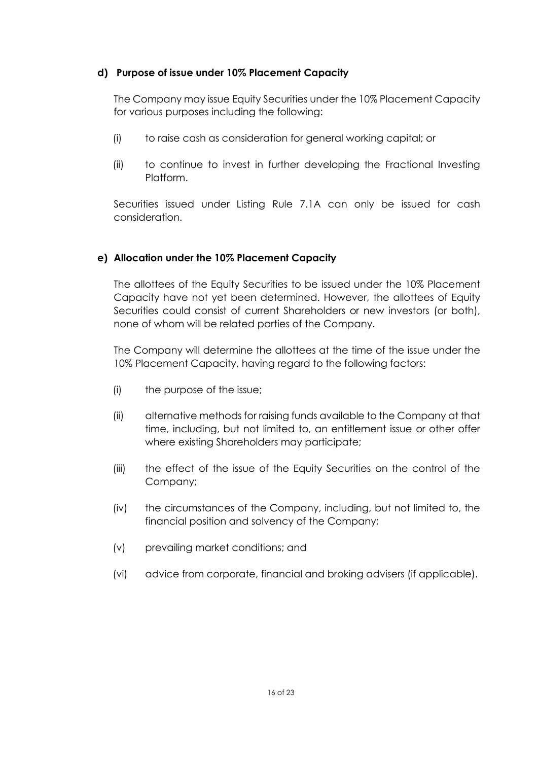### **d) Purpose of issue under 10% Placement Capacity**

The Company may issue Equity Securities under the 10% Placement Capacity for various purposes including the following:

- (i) to raise cash as consideration for general working capital; or
- (ii) to continue to invest in further developing the Fractional Investing Platform.

Securities issued under Listing Rule 7.1A can only be issued for cash consideration.

### **e) Allocation under the 10% Placement Capacity**

The allottees of the Equity Securities to be issued under the 10% Placement Capacity have not yet been determined. However, the allottees of Equity Securities could consist of current Shareholders or new investors (or both), none of whom will be related parties of the Company.

The Company will determine the allottees at the time of the issue under the 10% Placement Capacity, having regard to the following factors:

- (i) the purpose of the issue;
- (ii) alternative methods for raising funds available to the Company at that time, including, but not limited to, an entitlement issue or other offer where existing Shareholders may participate;
- (iii) the effect of the issue of the Equity Securities on the control of the Company;
- (iv) the circumstances of the Company, including, but not limited to, the financial position and solvency of the Company;
- (v) prevailing market conditions; and
- (vi) advice from corporate, financial and broking advisers (if applicable).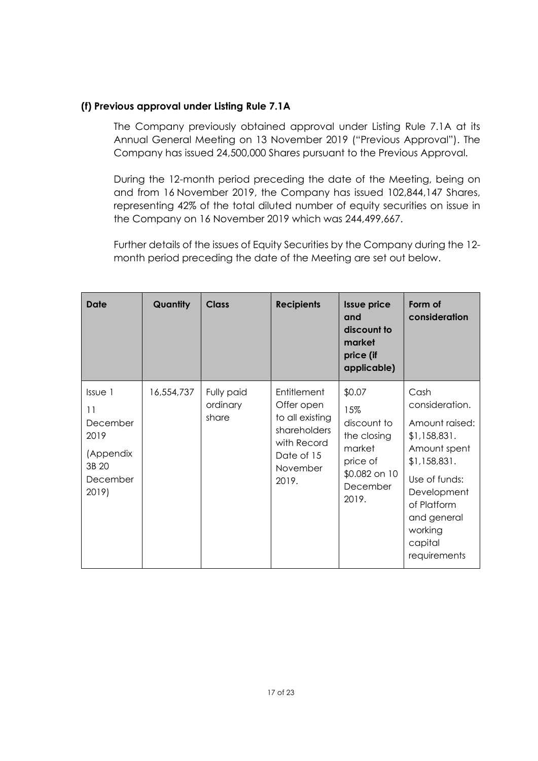### **(f) Previous approval under Listing Rule 7.1A**

The Company previously obtained approval under Listing Rule 7.1A at its Annual General Meeting on 13 November 2019 ("Previous Approval"). The Company has issued 24,500,000 Shares pursuant to the Previous Approval.

During the 12-month period preceding the date of the Meeting, being on and from 16 November 2019, the Company has issued 102,844,147 Shares, representing 42% of the total diluted number of equity securities on issue in the Company on 16 November 2019 which was 244,499,667.

Further details of the issues of Equity Securities by the Company during the 12 month period preceding the date of the Meeting are set out below.

| <b>Date</b>                                                                             | Quantity   | <b>Class</b>                    | <b>Recipients</b>                                                                                              | <b>Issue price</b><br>and<br>discount to<br>market<br>price (if<br>applicable)                          | Form of<br>consideration                                                                                                                                                                     |
|-----------------------------------------------------------------------------------------|------------|---------------------------------|----------------------------------------------------------------------------------------------------------------|---------------------------------------------------------------------------------------------------------|----------------------------------------------------------------------------------------------------------------------------------------------------------------------------------------------|
| Is <sub>ve</sub> 1<br>11<br>December<br>2019<br>(Appendix<br>3B 20<br>December<br>2019) | 16,554,737 | Fully paid<br>ordinary<br>share | Entitlement<br>Offer open<br>to all existing<br>shareholders<br>with Record<br>Date of 15<br>November<br>2019. | \$0.07<br>15%<br>discount to<br>the closing<br>market<br>price of<br>\$0.082 on 10<br>December<br>2019. | Cash<br>consideration.<br>Amount raised:<br>\$1,158,831.<br>Amount spent<br>\$1,158,831.<br>Use of funds:<br>Development<br>of Platform<br>and general<br>working<br>capital<br>requirements |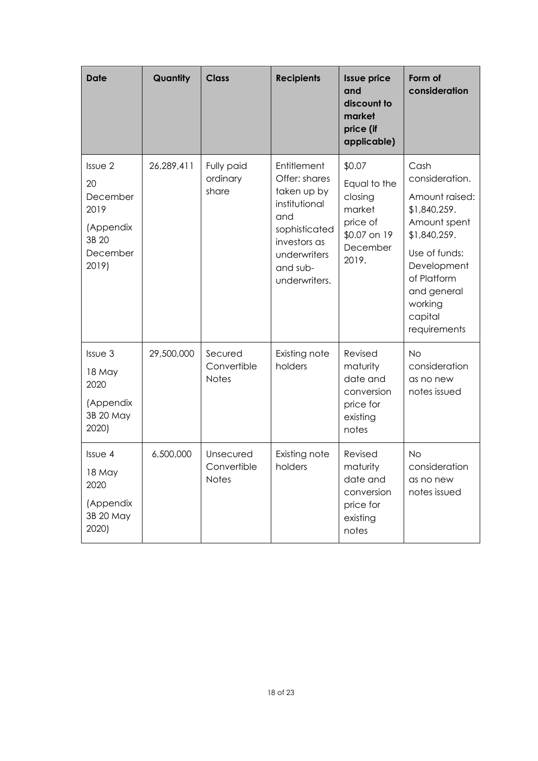| <b>Date</b>                                                                  | Quantity   | <b>Class</b>                             | <b>Recipients</b>                                                                                                                                 | <b>Issue price</b><br>and<br>discount to<br>market<br>price (if<br>applicable)               | Form of<br>consideration                                                                                                                                                                     |
|------------------------------------------------------------------------------|------------|------------------------------------------|---------------------------------------------------------------------------------------------------------------------------------------------------|----------------------------------------------------------------------------------------------|----------------------------------------------------------------------------------------------------------------------------------------------------------------------------------------------|
| Issue 2<br>20<br>December<br>2019<br>(Appendix<br>3B 20<br>December<br>2019) | 26,289,411 | Fully paid<br>ordinary<br>share          | Entitlement<br>Offer: shares<br>taken up by<br>institutional<br>and<br>sophisticated<br>investors as<br>underwriters<br>and sub-<br>underwriters. | \$0.07<br>Equal to the<br>closing<br>market<br>price of<br>\$0.07 on 19<br>December<br>2019. | Cash<br>consideration.<br>Amount raised:<br>\$1,840,259.<br>Amount spent<br>\$1,840,259.<br>Use of funds:<br>Development<br>of Platform<br>and general<br>working<br>capital<br>requirements |
| Issue 3<br>18 May<br>2020<br>(Appendix<br>3B 20 May<br>2020)                 | 29,500,000 | Secured<br>Convertible<br><b>Notes</b>   | Existing note<br>holders                                                                                                                          | Revised<br>maturity<br>date and<br>conversion<br>price for<br>existing<br>notes              | <b>No</b><br>consideration<br>as no new<br>notes issued                                                                                                                                      |
| Issue 4<br>18 May<br>2020<br>(Appendix<br>3B 20 May<br>2020)                 | 6,500,000  | Unsecured<br>Convertible<br><b>Notes</b> | Existing note<br>holders                                                                                                                          | Revised<br>maturity<br>date and<br>conversion<br>price for<br>existing<br>notes              | <b>No</b><br>consideration<br>as no new<br>notes issued                                                                                                                                      |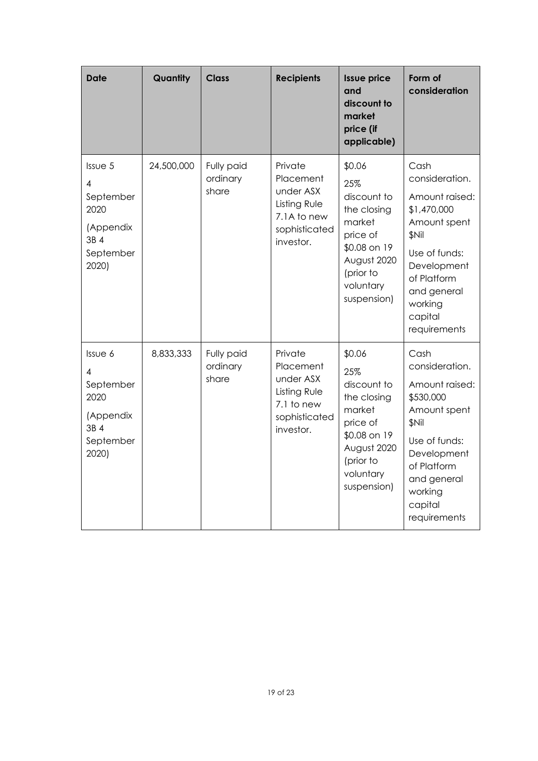| <b>Date</b>                                                                  | Quantity   | <b>Class</b>                    | <b>Recipients</b>                                                                              | <b>Issue price</b><br>and<br>discount to<br>market<br>price (if<br>applicable)                                                            | Form of<br>consideration                                                                                                                                                                   |
|------------------------------------------------------------------------------|------------|---------------------------------|------------------------------------------------------------------------------------------------|-------------------------------------------------------------------------------------------------------------------------------------------|--------------------------------------------------------------------------------------------------------------------------------------------------------------------------------------------|
| Issue 5<br>4<br>September<br>2020<br>(Appendix<br>3B 4<br>September<br>2020) | 24,500,000 | Fully paid<br>ordinary<br>share | Private<br>Placement<br>under ASX<br>Listing Rule<br>7.1A to new<br>sophisticated<br>investor. | \$0.06<br>25%<br>discount to<br>the closing<br>market<br>price of<br>\$0.08 on 19<br>August 2020<br>(prior to<br>voluntary<br>suspension) | Cash<br>consideration.<br>Amount raised:<br>\$1,470,000<br>Amount spent<br><b>SNil</b><br>Use of funds:<br>Development<br>of Platform<br>and general<br>working<br>capital<br>requirements |
| Issue 6<br>4<br>September<br>2020<br>(Appendix<br>3B 4<br>September<br>2020) | 8,833,333  | Fully paid<br>ordinary<br>share | Private<br>Placement<br>under ASX<br>Listing Rule<br>7.1 to new<br>sophisticated<br>investor.  | \$0.06<br>25%<br>discount to<br>the closing<br>market<br>price of<br>\$0.08 on 19<br>August 2020<br>(prior to<br>voluntary<br>suspension) | Cash<br>consideration.<br>Amount raised:<br>\$530,000<br>Amount spent<br>\$Nil<br>Use of funds:<br>Development<br>of Platform<br>and general<br>working<br>capital<br>requirements         |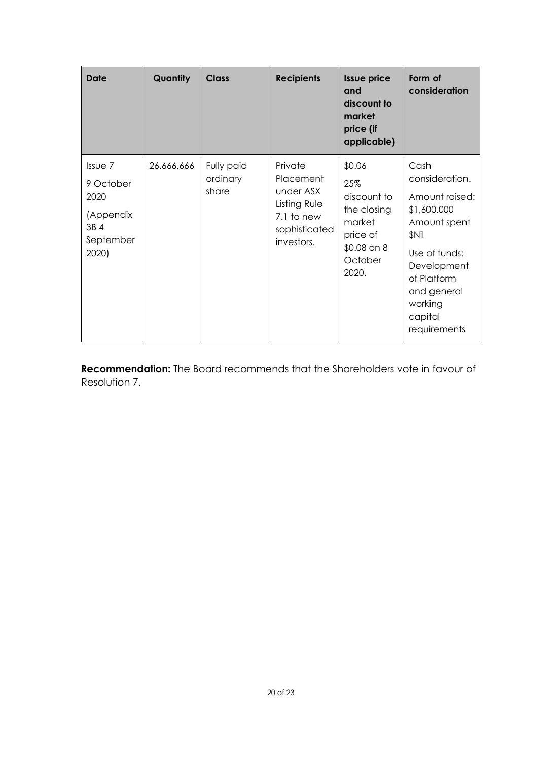| <b>Date</b>                                                                  | <b>Quantity</b> | <b>Class</b>                    | <b>Recipients</b>                                                                              | <b>Issue price</b><br>and<br>discount to<br>market<br>price (if<br>applicable)                          | Form of<br>consideration                                                                                                                                                             |
|------------------------------------------------------------------------------|-----------------|---------------------------------|------------------------------------------------------------------------------------------------|---------------------------------------------------------------------------------------------------------|--------------------------------------------------------------------------------------------------------------------------------------------------------------------------------------|
| $IsU \neq 7$<br>9 October<br>2020<br>(Appendix<br>3B 4<br>September<br>2020) | 26,666,666      | Fully paid<br>ordinary<br>share | Private<br>Placement<br>under ASX<br>Listing Rule<br>7.1 to new<br>sophisticated<br>investors. | \$0.06<br>25%<br>discount to<br>the closing<br>market<br>price of<br>$$0.08$ on $8$<br>October<br>2020. | Cash<br>consideration.<br>Amount raised:<br>\$1,600.000<br>Amount spent<br>\$Nil<br>Use of funds:<br>Development<br>of Platform<br>and general<br>working<br>capital<br>requirements |

**Recommendation:** The Board recommends that the Shareholders vote in favour of Resolution 7.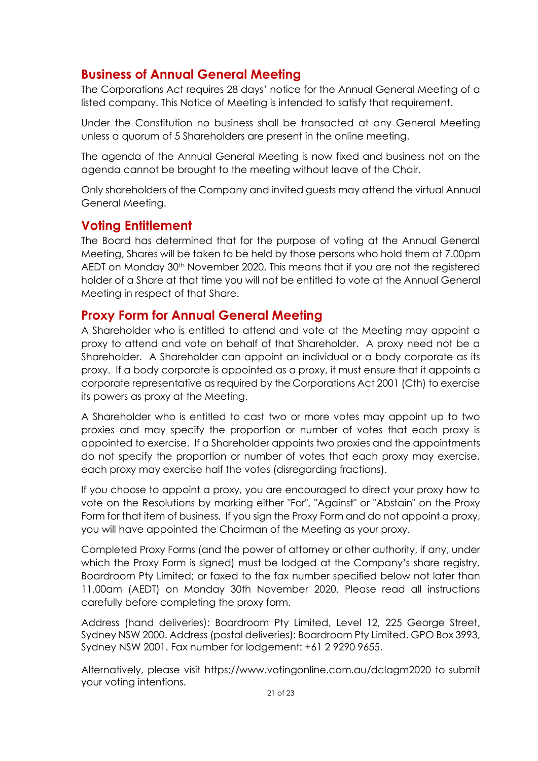## **Business of Annual General Meeting**

The Corporations Act requires 28 days' notice for the Annual General Meeting of a listed company. This Notice of Meeting is intended to satisfy that requirement.

Under the Constitution no business shall be transacted at any General Meeting unless a quorum of 5 Shareholders are present in the online meeting.

The agenda of the Annual General Meeting is now fixed and business not on the agenda cannot be brought to the meeting without leave of the Chair.

Only shareholders of the Company and invited guests may attend the virtual Annual General Meeting.

### **Voting Entitlement**

The Board has determined that for the purpose of voting at the Annual General Meeting, Shares will be taken to be held by those persons who hold them at 7.00pm AEDT on Monday 30th November 2020. This means that if you are not the registered holder of a Share at that time you will not be entitled to vote at the Annual General Meeting in respect of that Share.

### **Proxy Form for Annual General Meeting**

A Shareholder who is entitled to attend and vote at the Meeting may appoint a proxy to attend and vote on behalf of that Shareholder. A proxy need not be a Shareholder. A Shareholder can appoint an individual or a body corporate as its proxy. If a body corporate is appointed as a proxy, it must ensure that it appoints a corporate representative as required by the Corporations Act 2001 (Cth) to exercise its powers as proxy at the Meeting.

A Shareholder who is entitled to cast two or more votes may appoint up to two proxies and may specify the proportion or number of votes that each proxy is appointed to exercise. If a Shareholder appoints two proxies and the appointments do not specify the proportion or number of votes that each proxy may exercise, each proxy may exercise half the votes (disregarding fractions).

If you choose to appoint a proxy, you are encouraged to direct your proxy how to vote on the Resolutions by marking either "For", "Against" or "Abstain" on the Proxy Form for that item of business. If you sign the Proxy Form and do not appoint a proxy, you will have appointed the Chairman of the Meeting as your proxy.

Completed Proxy Forms (and the power of attorney or other authority, if any, under which the Proxy Form is signed) must be lodged at the Company's share registry, Boardroom Pty Limited; or faxed to the fax number specified below not later than 11.00am (AEDT) on Monday 30th November 2020. Please read all instructions carefully before completing the proxy form.

Address (hand deliveries): Boardroom Pty Limited, Level 12, 225 George Street, Sydney NSW 2000. Address (postal deliveries): Boardroom Pty Limited, GPO Box 3993, Sydney NSW 2001. Fax number for lodgement: +61 2 9290 9655.

Alternatively, please visit https://www.votingonline.com.au/dclagm2020 to submit your voting intentions.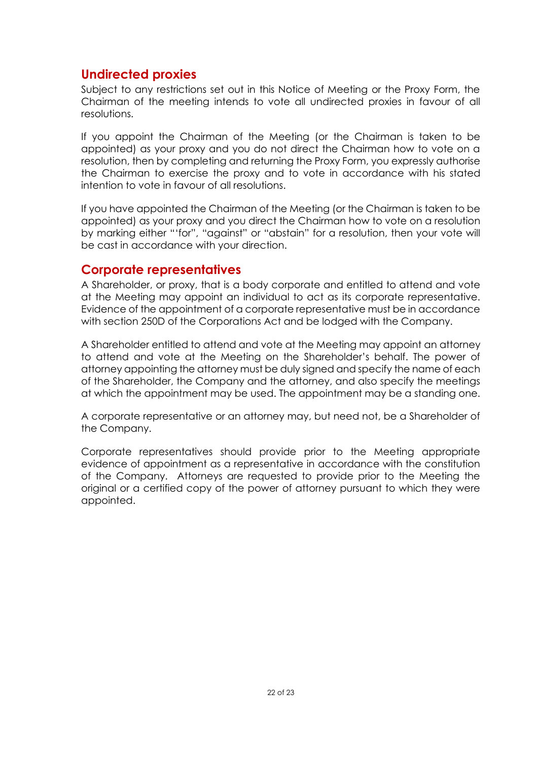### **Undirected proxies**

Subject to any restrictions set out in this Notice of Meeting or the Proxy Form, the Chairman of the meeting intends to vote all undirected proxies in favour of all resolutions.

If you appoint the Chairman of the Meeting (or the Chairman is taken to be appointed) as your proxy and you do not direct the Chairman how to vote on a resolution, then by completing and returning the Proxy Form, you expressly authorise the Chairman to exercise the proxy and to vote in accordance with his stated intention to vote in favour of all resolutions.

If you have appointed the Chairman of the Meeting (or the Chairman is taken to be appointed) as your proxy and you direct the Chairman how to vote on a resolution by marking either "'for", "against" or "abstain" for a resolution, then your vote will be cast in accordance with your direction.

### **Corporate representatives**

A Shareholder, or proxy, that is a body corporate and entitled to attend and vote at the Meeting may appoint an individual to act as its corporate representative. Evidence of the appointment of a corporate representative must be in accordance with section 250D of the Corporations Act and be lodged with the Company.

A Shareholder entitled to attend and vote at the Meeting may appoint an attorney to attend and vote at the Meeting on the Shareholder's behalf. The power of attorney appointing the attorney must be duly signed and specify the name of each of the Shareholder, the Company and the attorney, and also specify the meetings at which the appointment may be used. The appointment may be a standing one.

A corporate representative or an attorney may, but need not, be a Shareholder of the Company.

Corporate representatives should provide prior to the Meeting appropriate evidence of appointment as a representative in accordance with the constitution of the Company. Attorneys are requested to provide prior to the Meeting the original or a certified copy of the power of attorney pursuant to which they were appointed.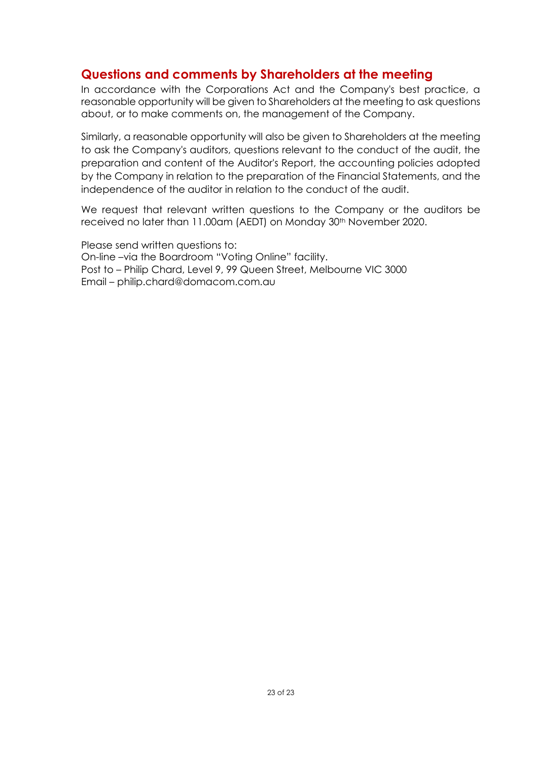### **Questions and comments by Shareholders at the meeting**

In accordance with the Corporations Act and the Company's best practice, a reasonable opportunity will be given to Shareholders at the meeting to ask questions about, or to make comments on, the management of the Company.

Similarly, a reasonable opportunity will also be given to Shareholders at the meeting to ask the Company's auditors, questions relevant to the conduct of the audit, the preparation and content of the Auditor's Report, the accounting policies adopted by the Company in relation to the preparation of the Financial Statements, and the independence of the auditor in relation to the conduct of the audit.

We request that relevant written questions to the Company or the auditors be received no later than 11.00am (AEDT) on Monday 30<sup>th</sup> November 2020.

Please send written questions to: On-line –via the Boardroom "Voting Online" facility. Post to – Philip Chard, Level 9, 99 Queen Street, Melbourne VIC 3000 Email – philip.chard@domacom.com.au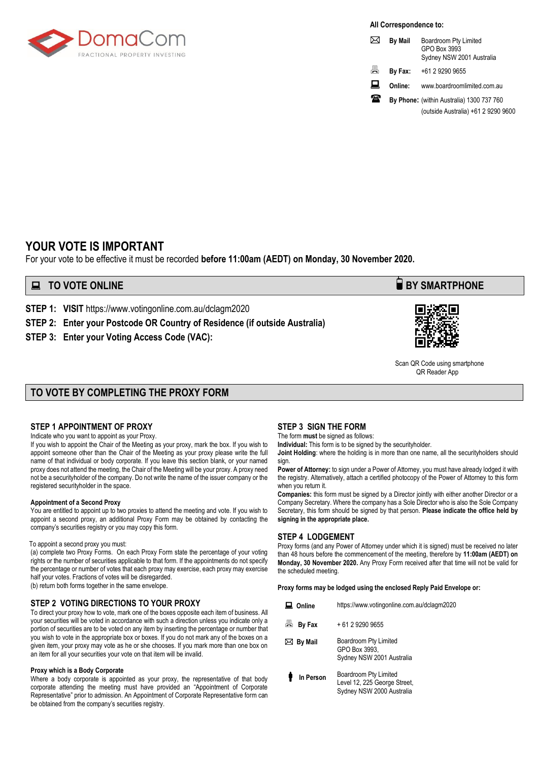

**All Correspondence to:**

| ᢂ | <b>By Mail</b> | Boardroom Pty Limited<br>GPO Box 3993<br>Sydney NSW 2001 Australia |
|---|----------------|--------------------------------------------------------------------|
| 昌 | By Fax:        | +61 2 9290 9655                                                    |
| ᇦ | Online:        | www.boardroomlimited.com.au                                        |
| Ж |                | By Phone: (within Australia) 1300 737 760                          |
|   |                | (outside Australia) +61 2 9290 9600                                |

### **YOUR VOTE IS IMPORTANT**

For your vote to be effective it must be recorded **before 11:00am (AEDT) on Monday, 30 November 2020.** 

### **EXECUTE ONLINE BY SMARTPHONE**

**STEP 1: VISIT** https://www.votingonline.com.au/dclagm2020

**STEP 2: Enter your Postcode OR Country of Residence (if outside Australia)**

**STEP 3: Enter your Voting Access Code (VAC):**



 Scan QR Code using smartphone QR Reader App

### **TO VOTE BY COMPLETING THE PROXY FORM**

#### **STEP 1 APPOINTMENT OF PROXY**

Indicate who you want to appoint as your Proxy.

If you wish to appoint the Chair of the Meeting as your proxy, mark the box. If you wish to appoint someone other than the Chair of the Meeting as your proxy please write the full name of that individual or body corporate. If you leave this section blank, or your named proxy does not attend the meeting, the Chair of the Meeting will be your proxy. A proxy need not be a securityholder of the company. Do not write the name of the issuer company or the registered securityholder in the space.

#### **Appointment of a Second Proxy**

You are entitled to appoint up to two proxies to attend the meeting and vote. If you wish to appoint a second proxy, an additional Proxy Form may be obtained by contacting the company's securities registry or you may copy this form.

#### To appoint a second proxy you must:

(a) complete two Proxy Forms. On each Proxy Form state the percentage of your voting rights or the number of securities applicable to that form. If the appointments do not specify the percentage or number of votes that each proxy may exercise, each proxy may exercise half your votes. Fractions of votes will be disregarded.

(b) return both forms together in the same envelope.

#### **STEP 2 VOTING DIRECTIONS TO YOUR PROXY**

To direct your proxy how to vote, mark one of the boxes opposite each item of business. All your securities will be voted in accordance with such a direction unless you indicate only a portion of securities are to be voted on any item by inserting the percentage or number that you wish to vote in the appropriate box or boxes. If you do not mark any of the boxes on a given item, your proxy may vote as he or she chooses. If you mark more than one box on an item for all your securities your vote on that item will be invalid.

#### **Proxy which is a Body Corporate**

Where a body corporate is appointed as your proxy, the representative of that body corporate attending the meeting must have provided an "Appointment of Corporate Representative" prior to admission. An Appointment of Corporate Representative form can be obtained from the company's securities registry.

#### **STEP 3 SIGN THE FORM**

The form **must** be signed as follows:

**Individual:** This form is to be signed by the securityholder.

**Joint Holding**: where the holding is in more than one name, all the securityholders should sign.

**Power of Attorney:** to sign under a Power of Attorney, you must have already lodged it with the registry. Alternatively, attach a certified photocopy of the Power of Attorney to this form when you return it.

**Companies:** this form must be signed by a Director jointly with either another Director or a Company Secretary. Where the company has a Sole Director who is also the Sole Company Secretary, this form should be signed by that person. **Please indicate the office held by signing in the appropriate place.**

#### **STEP 4 LODGEMENT**

Proxy forms (and any Power of Attorney under which it is signed) must be received no later than 48 hours before the commencement of the meeting, therefore by **11:00am (AEDT) on Monday, 30 November 2020.** Any Proxy Form received after that time will not be valid for the scheduled meeting.

**Proxy forms may be lodged using the enclosed Reply Paid Envelope or:**

| Online            | https://www.votingonline.com.au/dclagm2020                                         |  |  |  |
|-------------------|------------------------------------------------------------------------------------|--|--|--|
| ā<br>By Fax       | + 61 2 9290 9655                                                                   |  |  |  |
| $\bowtie$ By Mail | Boardroom Pty Limited<br>GPO Box 3993,<br>Sydney NSW 2001 Australia                |  |  |  |
| In Person         | Boardroom Pty Limited<br>Level 12, 225 George Street,<br>Sydney NSW 2000 Australia |  |  |  |